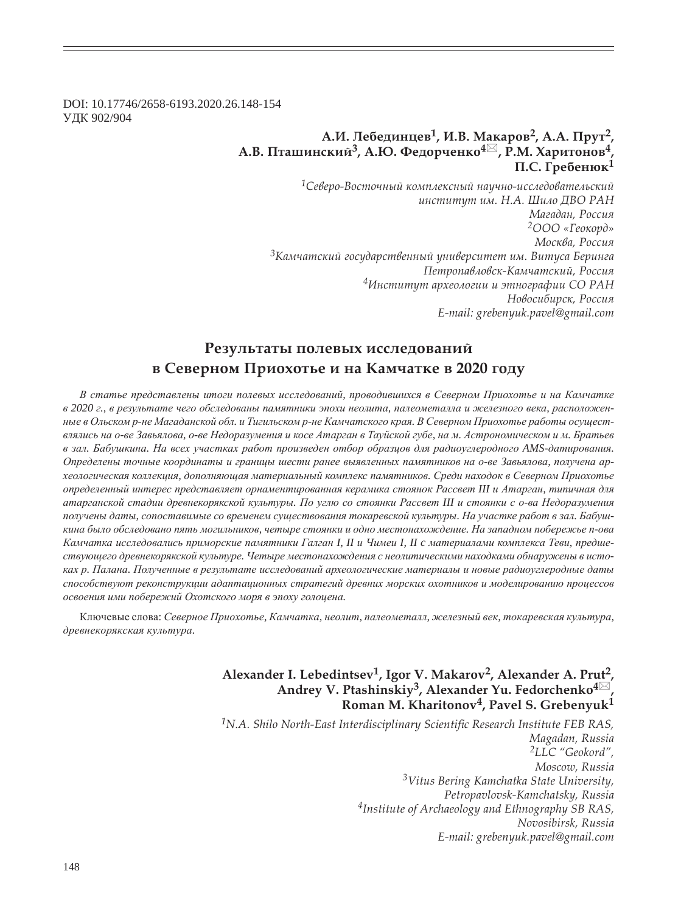DOI: 10.17746/2658-6193.2020.26.148-154 ɍȾɄ 902/904

## **Ǯ.Ƕ. ǹȓȏȓȒȖțȤȓȐ1, Ƕ.ǰ. ǺȎȘȎȞȜȐ2, Ǯ.Ǯ. ǽȞȡȠ2, Ǯ.ǰ. ǽȠȎȦȖțȟȘȖȗ3, Ǯ.Ȍ. ȂȓȒȜȞȥȓțȘȜ<sup>4</sup> , Ǿ.Ǻ. ȃȎȞȖȠȜțȜȐ4, П.С.** Гребенюк<sup>1</sup>

<sup>1</sup>Северо-Восточный комплексный научно-исследовательский *институт им. Н.А. Шило ДВО РАН* Магадан, Россия <sup>2</sup>*OOO* «Геокорд» Москва, Россия <sup>3</sup> Камчатский государственный университет им. Витуса Беринга  $\Pi$ етропавловск-Камчатский, Россия *<sup>4</sup>ǶțȟȠȖȠȡȠ ȎȞȣȓȜșȜȑȖȖ Ȗ ȫȠțȜȑȞȎȢȖȖ ǿǼ ǾǮǻ* Новосибирск, Россия *E-mail: grebenyuk.pavel@gmail.com*

# Результаты полевых исследований **в Северном Приохотье и на Камчатке в 2020 году**

В статье представлены итоги полевых исследований, проводившихся в Северном Приохотье и на Камчатке в 2020 г., в результате чего обследованы памятники эпохи неолита, палеометалла и железного века, расположенные в Ольском р-не Магаданской обл. и Тигильском р-не Камчатского края. В Северном Приохотье работы осуществлялись на о-ве Завьялова, о-ве Недоразумения и косе Атарган в Тауйской губе, на м. Астрономическом и м. Братьев *ɜ ɡɚɥ. Ȼɚɛɭɲɤɢɧɚ. ɇɚ ɜɫɟɯ ɭɱɚɫɬɤɚɯ ɪɚɛɨɬ ɩɪɨɢɡɜɟɞɟɧ ɨɬɛɨɪ ɨɛɪɚɡɰɨɜ ɞɥɹ ɪɚɞɢɨɭɝɥɟɪɨɞɧɨɝɨ AMS-ɞɚɬɢɪɨɜɚɧɢɹ.*  Определены точные координаты и границы шести ранее выявленных памятников на о-ве Завьялова, получена ар**хеологическая коллекция, дополняющая материальный комплекс памятников. Среди находок в Северном Приохотье** *ɨɩɪɟɞɟɥɟɧɧɵɣ ɢɧɬɟɪɟɫ ɩɪɟɞɫɬɚɜɥɹɟɬ ɨɪɧɚɦɟɧɬɢɪɨɜɚɧɧɚɹ ɤɟɪɚɦɢɤɚ ɫɬɨɹɧɨɤ Ɋɚɫɫɜɟɬ III ɢ Ⱥɬɚɪɝɚɧ, ɬɢɩɢɱɧɚɹ ɞɥɹ* атарганской стадии древнекорякской культуры. По углю со стоянки Рассвет III и стоянки с о-ва Недоразумения получены даты, сопоставимые со временем существования токаревской культуры. На участке работ в зал. Бабушкина было обследовано пять могильников, четыре стоянки и одно местонахождение. На западном побережье п-ова Камчатка исследовались приморские памятники Галган I, II и Чимеи I, II с материалами комплекса Теви, предше*ɫɬɜɭɸɳɟɝɨ ɞɪɟɜɧɟɤɨɪɹɤɫɤɨɣ ɤɭɥɶɬɭɪɟ. ɑɟɬɵɪɟ ɦɟɫɬɨɧɚɯɨɠɞɟɧɢɹ ɫ ɧɟɨɥɢɬɢɱɟɫɤɢɦɢ ɧɚɯɨɞɤɚɦɢ ɨɛɧɚɪɭɠɟɧɵ ɜ ɢɫɬɨ*ках р. Палана. Полученные в результате исследований археологические материалы и новые радиоуглеродные даты *ɫɩɨɫɨɛɫɬɜɭɸɬ ɪɟɤɨɧɫɬɪɭɤɰɢɢ ɚɞɚɩɬɚɰɢɨɧɧɵɯ ɫɬɪɚɬɟɝɢɣ ɞɪɟɜɧɢɯ ɦɨɪɫɤɢɯ ɨɯɨɬɧɢɤɨɜ ɢ ɦɨɞɟɥɢɪɨɜɚɧɢɸ ɩɪɨɰɟɫɫɨɜ*  $\alpha$ своения ими побережий Охотского моря в эпоху голоцена.

Ключевые слова: Северное Приохотье, Камчатка, неолит, палеометалл, железный век, токаревская культура,  $\partial$ ревнекорякская культура.

## Alexander I. Lebedintsev<sup>1</sup>, Igor V. Makarov<sup>2</sup>, Alexander A. Prut<sup>2</sup>, Andrey V. Ptashinskiy<sup>3</sup>, Alexander Yu. Fedorchenko<sup>4⊠</sup> **Roman M. Kharitonov4, Pavel S. Grebenyuk1**

<sup>1</sup>N.A. Shilo North-East Interdisciplinary Scientific Research Institute FEB RAS, *Magadan, Russia 2LLC "Geokord", Moscow, Russia 3Vitus Bering Kamchatka State University, Petropavlovsk-Kamchatsky, Russia 4Institute of Archaeology and Ethnography SB RAS, Novosibirsk, Russia E-mail: grebenyuk.pavel@gmail.com*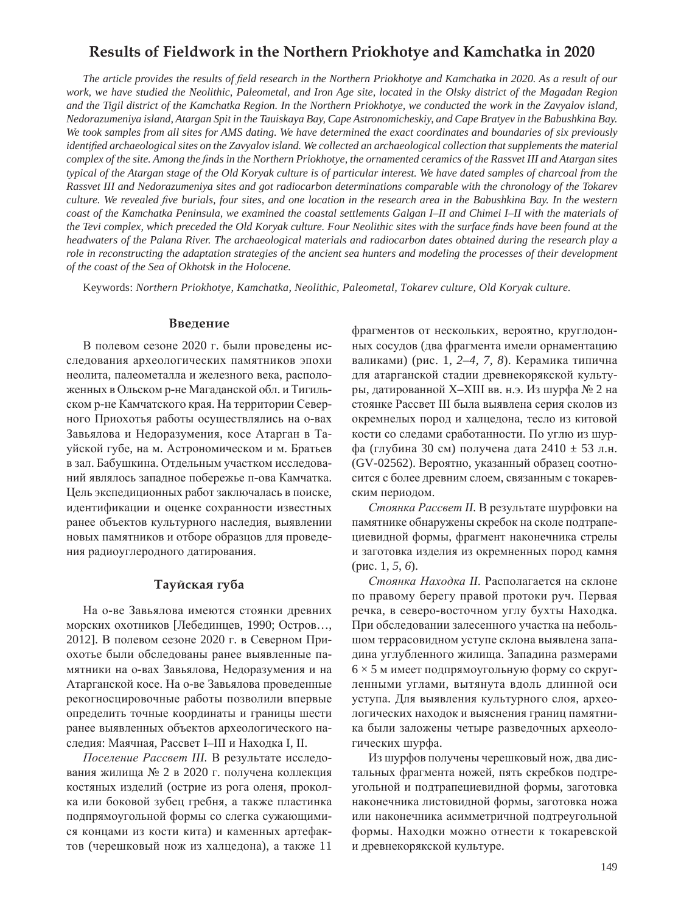## **Results of Fieldwork in the Northern Priokhotye and Kamchatka in 2020**

The article provides the results of field research in the Northern Priokhotye and Kamchatka in 2020. As a result of our *work, we have studied the Neolithic, Paleometal, and Iron Age site, located in the Olsky district of the Magadan Region and the Tigil district of the Kamchatka Region. In the Northern Priokhotye, we conducted the work in the Zavyalov island, Nedorazumeniya island, Atargan Spit in the Tauiskaya Bay, Cape Astronomicheskiy, and Cape Bratyev in the Babushkina Bay. We took samples from all sites for AMS dating. We have determined the exact coordinates and boundaries of six previously identified archaeological sites on the Zavyalov island. We collected an archaeological collection that supplements the material*  $\overline{a}$ *complex of the site. Among the finds in the Northern Priokhotye, the ornamented ceramics of the Rassvet III and Atargan sites typical of the Atargan stage of the Old Koryak culture is of particular interest. We have dated samples of charcoal from the Rassvet III and Nedorazumeniya sites and got radiocarbon determinations comparable with the chronology of the Tokarev culture. We revealed five burials, four sites, and one location in the research area in the Babushkina Bay. In the western coast of the Kamchatka Peninsula, we examined the coastal settlements Galgan I–II and Chimei I–II with the materials of the Tevi complex, which preceded the Old Koryak culture. Four Neolithic sites with the surface finds have been found at the headwaters of the Palana River. The archaeological materials and radiocarbon dates obtained during the research play a role in reconstructing the adaptation strategies of the ancient sea hunters and modeling the processes of their development of the coast of the Sea of Okhotsk in the Holocene.*

Keywords: *Northern Priokhotye, Kamchatka, Neolithic, Paleometal, Tokarev culture, Old Koryak culture.*

#### **Введение**

В полевом сезоне 2020 г. были проведены исследования археологических памятников эпохи неолита, палеометалла и железного века, расположенных в Ольском р-не Магаданской обл. и Тигильском р-не Камчатского края. На территории Северного Приохотья работы осуществлялись на о-вах Завьялова и Недоразумения, косе Атарган в Тауйской губе, на м. Астрономическом и м. Братьев в зал. Бабушкина. Отдельным участком исследований являлось западное побережье п-ова Камчатка. Цель экспедиционных работ заключалась в поиске, идентификации и оценке сохранности известных ранее объектов культурного наследия, выявлении новых памятников и отборе образцов для проведения радиоуглеродного датирования.

### Тауйская губа

На о-ве Завьялова имеются стоянки древних морских охотников [Лебединцев, 1990; Остров..., 2012]. В полевом сезоне 2020 г. в Северном Приохотье были обследованы ранее выявленные памятники на о-вах Завьялова, Недоразумения и на Атарганской косе. На о-ве Завьялова проведенные рекогносцировочные работы позволили впервые определить точные координаты и границы шести ранее выявленных объектов археологического наследия: Маячная, Рассвет I–III и Находка I, II.

*Поселение Рассвет III.* В результате исследования жилища № 2 в 2020 г. получена коллекция костяных изделий (острие из рога оленя, проколка или боковой зубец гребня, а также пластинка подпрямоугольной формы со слегка сужающимися концами из кости кита) и каменных артефактов (черешковый нож из халцедона), а также 11 фрагментов от нескольких, вероятно, круглодонных сосудов (два фрагмента имели орнаментацию валиками) (рис. 1, 2–4, 7, 8). Керамика типична для атарганской стадии древнекорякской культуры, датированной X–XIII вв. н.э. Из шурфа № 2 на стоянке Рассвет III была выявлена серия сколов из окремнелых пород и халцедона, тесло из китовой кости со следами сработанности. По углю из шурфа (глубина 30 см) получена дата 2410  $\pm$  53 л.н. (GV-02562). Вероятно, указанный образец соотносится с более древним слоем, связанным с токаревским периодом.

Стоянка Рассвет II. В результате шурфовки на памятнике обнаружены скребок на сколе подтрапециевидной формы, фрагмент наконечника стрелы и заготовка изделия из окремненных пород камня  $(pnc. 1, 5, 6)$ .

Стоянка Находка II. Располагается на склоне по правому берегу правой протоки руч. Первая речка, в северо-восточном углу бухты Находка. При обследовании залесенного участка на небольшом террасовидном уступе склона выявлена западина углубленного жилища. Западина размерами  $6 \times 5$  м имеет подпрямоугольную форму со скругленными углами, вытянута вдоль длинной оси уступа. Для выявления культурного слоя, археологических находок и выяснения границ памятника были заложены четыре разведочных археологических шурфа.

Из шурфов получены черешковый нож, два дистальных фрагмента ножей, пять скребков подтреугольной и подтрапециевидной формы, заготовка наконечника листовидной формы, заготовка ножа или наконечника асимметричной подтреугольной формы. Находки можно отнести к токаревской и древнекорякской культуре.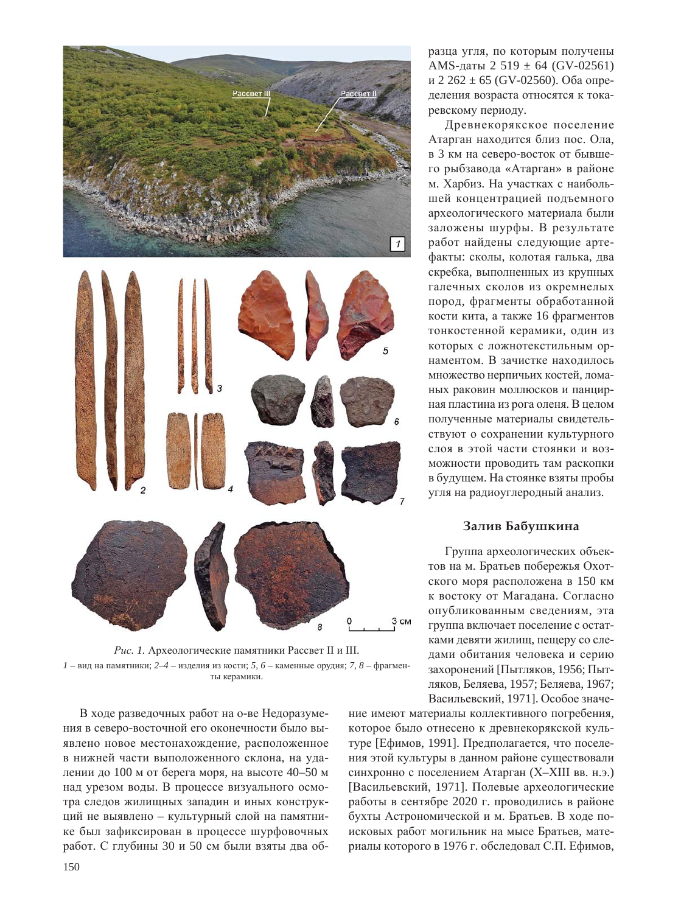

Рис. 1. Археологические памятники Рассвет II и III.  $1 -$ вид на памятники;  $2-4 -$  изделия из кости; 5, 6 – каменные орудия; 7, 8 – фрагменты керамики.

В ходе разведочных работ на о-ве Недоразумения в северо-восточной его оконечности было выявлено новое местонахождение, расположенное в нижней части выположенного склона, на удалении до 100 м от берега моря, на высоте 40–50 м над урезом воды. В процессе визуального осмотра следов жилищных западин и иных конструкций не выявлено – культурный слой на памятнике был зафиксирован в процессе шурфовочных работ. С глубины 30 и 50 см были взяты два образца угля, по которым получены AMS-даты 2 519  $\pm$  64 (GV-02561) и 2 262  $\pm$  65 (GV-02560). Оба определения возраста относятся к токаревскому периоду.

Древнекорякское поселение Атарган находится близ пос. Ола, в 3 км на северо-восток от бывшего рыбзавода «Атарган» в районе м. Харбиз. На участках с наибольшей концентрацией подъемного археологического материала были заложены шурфы. В результате работ найдены следующие артефакты: сколы, колотая галька, два скребка, выполненных из крупных галечных сколов из окремнелых пород, фрагменты обработанной кости кита, а также 16 фрагментов тонкостенной керамики, один из которых с ложнотекстильным орнаментом. В зачистке находилось множество нерпичьих костей, ломаных раковин моллюсков и панцирная пластина из рога оленя. В целом полученные материалы свидетельствуют о сохранении культурного слоя в этой части стоянки и возможности проводить там раскопки в будущем. На стоянке взяты пробы угля на радиоуглеродный анализ.

### Залив Бабушкина

Группа археологических объектов на м. Братьев побережья Охотского моря расположена в 150 км к востоку от Магадана. Согласно опубликованным сведениям, эта группа включает поселение с остатками девяти жилищ, пещеру со следами обитания человека и серию захоронений [Пытляков, 1956; Пытляков, Беляева, 1957; Беляева, 1967; Васильевский, 1971]. Особое значе-

ние имеют материалы коллективного погребения, которое было отнесено к древнекорякской культуре [Ефимов, 1991]. Предполагается, что поселения этой культуры в данном районе существовали синхронно с поселением Атарган (X-XIII вв. н.э.) [Васильевский, 1971]. Полевые археологические работы в сентябре 2020 г. проводились в районе бухты Астрономической и м. Братьев. В ходе поисковых работ могильник на мысе Братьев, материалы которого в 1976 г. обследовал С.П. Ефимов,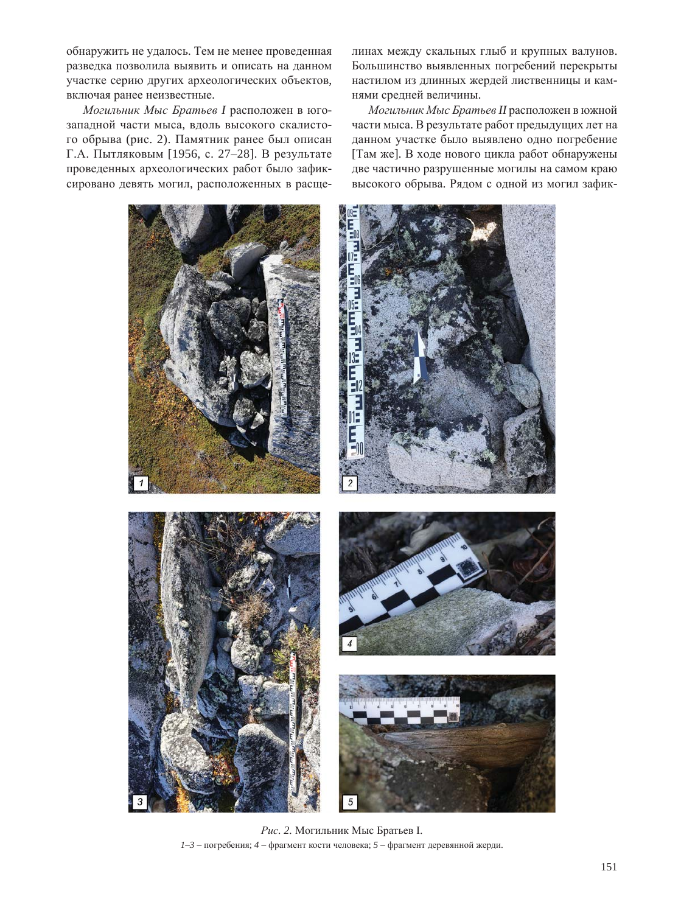обнаружить не удалось. Тем не менее проведенная разведка позволила выявить и описать на данном участке серию других археологических объектов, включая ранее неизвестные.

Могильник Мыс Братьев I расположен в югозападной части мыса, вдоль высокого скалистого обрыва (рис. 2). Памятник ранее был описан Г.А. Пытляковым [1956, с. 27–28]. В результате проведенных археологических работ было зафиксировано девять могил, расположенных в расщелинах между скальных глыб и крупных валунов. Большинство выявленных погребений перекрыты настилом из длинных жердей лиственницы и камнями средней величины.

*Могильник Мыс Братьев II* расположен в южной части мыса. В результате работ предыдущих лет на данном участке было выявлено одно погребение [Там же]. В ходе нового цикла работ обнаружены две частично разрушенные могилы на самом краю высокого обрыва. Рядом с одной из могил зафик-



Рис. 2. Могильник Мыс Братьев I.  $1-3$  – погребения;  $4$  – фрагмент кости человека;  $5$  – фрагмент деревянной жерди.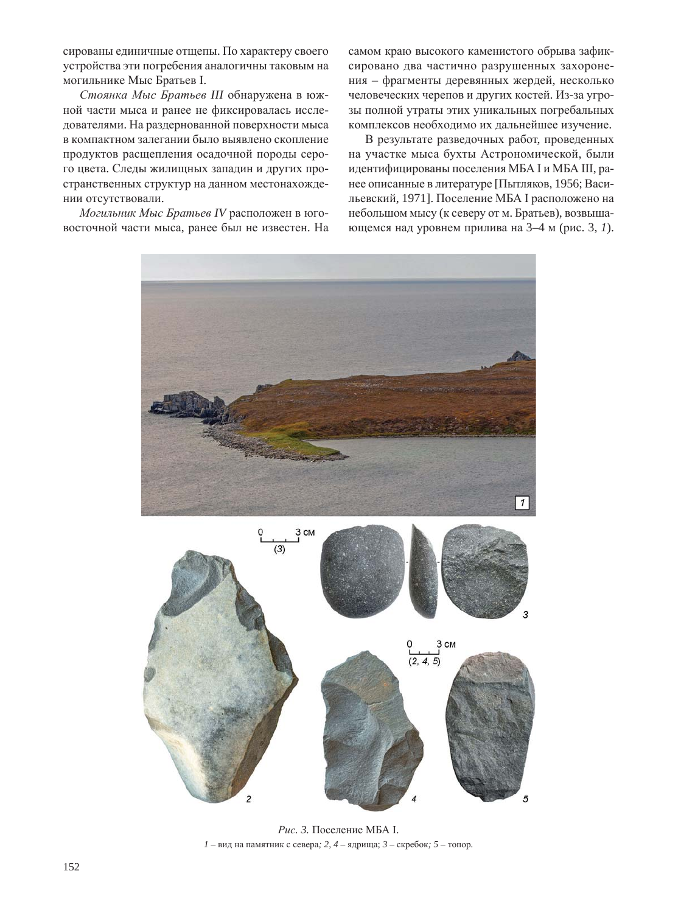сированы единичные отщепы. По характеру своего устройства эти погребения аналогичны таковым на могильнике Мыс Братьев I.

Стоянка Мыс Братьев III обнаружена в южной части мыса и ранее не фиксировалась исследователями. На раздернованной поверхности мыса в компактном залегании было выявлено скопление продуктов расщепления осадочной породы серого цвета. Следы жилищных западин и других пространственных структур на данном местонахождении отсутствовали.

*Могильник Мыс Братьев IV* расположен в юговосточной части мыса, ранее был не известен. На самом краю высокого каменистого обрыва зафиксировано два частично разрушенных захоронения – фрагменты деревянных жердей, несколько человеческих черепов и других костей. Из-за угрозы полной утраты этих уникальных погребальных комплексов необходимо их дальнейшее изучение.

В результате разведочных работ, проведенных на участке мыса бухты Астрономической, были идентифицированы поселения МБА I и МБА III, ранее описанные в литературе [Пытляков, 1956; Васильевский, 1971]. Поселение МБА I расположено на небольшом мысу (к северу от м. Братьев), возвышающемся над уровнем прилива на 3–4 м (рис. 3, 1).



Рис. 3. Поселение МБА I.  $1 -$ вид на памятник с севера; 2, 4 – ядрища;  $3 -$ скребок; 5 – топор.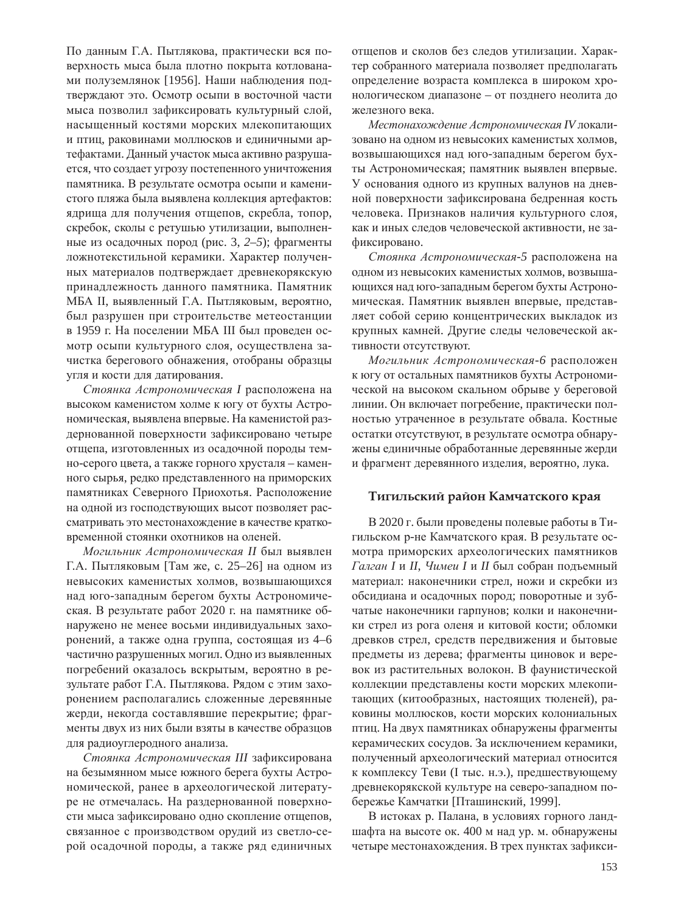По данным Г.А. Пытлякова, практически вся поверхность мыса была плотно покрыта котлованами полуземлянок [1956]. Наши наблюдения подтверждают это. Осмотр осыпи в восточной части мыса позволил зафиксировать культурный слой, насыщенный костями морских млекопитающих и птиц, раковинами моллюсков и единичными артефактами. Данный участок мыса активно разрушается, что создает угрозу постепенного уничтожения памятника. В результате осмотра осыпи и каменистого пляжа была выявлена коллекция артефактов: ядрища для получения отщепов, скребла, топор, скребок, сколы с ретушью утилизации, выполненные из осадочных пород (рис. 3,  $2-5$ ); фрагменты ложнотекстильной керамики. Характер полученных материалов подтверждает древнекорякскую принадлежность данного памятника. Памятник МБА II, выявленный Г.А. Пытляковым, вероятно, был разрушен при строительстве метеостанции в 1959 г. На поселении МБА III был проведен осмотр осыпи культурного слоя, осуществлена зачистка берегового обнажения, отобраны образцы угля и кости для датирования.

Стоянка Астрономическая I расположена на высоком каменистом холме к югу от бухты Астрономическая, выявлена впервые. На каменистой раздернованной поверхности зафиксировано четыре отщепа, изготовленных из осадочной породы темно-серого цвета, а также горного хрусталя – каменного сырья, редко представленного на приморских памятниках Северного Приохотья. Расположение на одной из господствующих высот позволяет рассматривать это местонахождение в качестве кратковременной стоянки охотников на оленей.

Могильник Астрономическая II был выявлен Г.А. Пытляковым [Там же, с. 25–26] на одном из невысоких каменистых холмов, возвышающихся над юго-западным берегом бухты Астрономическая. В результате работ 2020 г. на памятнике обнаружено не менее восьми индивидуальных захоронений, а также одна группа, состоящая из 4–6 частично разрушенных могил. Одно из выявленных погребений оказалось вскрытым, вероятно в результате работ Г.А. Пытлякова. Рядом с этим захоронением располагались сложенные деревянные жерди, некогда составлявшие перекрытие; фрагменты двух из них были взяты в качестве образцов для радиоуглеродного анализа.

Стоянка Астрономическая III зафиксирована на безымянном мысе южного берега бухты Астрономической, ранее в археологической литературе не отмечалась. На раздернованной поверхности мыса зафиксировано одно скопление отщепов, связанное с производством орудий из светло-серой осадочной породы, а также ряд единичных отщепов и сколов без следов утилизации. Характер собранного материала позволяет предполагать определение возраста комплекса в широком хронологическом диапазоне – от позднего неолита до железного века.

Местонахождение Астрономическая IV локализовано на одном из невысоких каменистых холмов, возвышающихся над юго-западным берегом бухты Астрономическая; памятник выявлен впервые. У основания одного из крупных валунов на дневной поверхности зафиксирована бедренная кость человека. Признаков наличия культурного слоя, как и иных следов человеческой активности, не зафиксировано.

Стоянка Астрономическая-5 расположена на одном из невысоких каменистых холмов, возвышающихся над юго-западным берегом бухты Астрономическая. Памятник выявлен впервые, представляет собой серию концентрических выкладок из крупных камней. Другие следы человеческой активности отсутствуют.

Могильник Астрономическая-6 расположен к югу от остальных памятников бухты Астрономической на высоком скальном обрыве у береговой линии. Он включает погребение, практически полностью утраченное в результате обвала. Костные остатки отсутствуют, в результате осмотра обнаружены единичные обработанные деревянные жерди и фрагмент деревянного изделия, вероятно, лука.

#### Тигильский район Камчатского края

В 2020 г. были проведены полевые работы в Тигильском р-не Камчатского края. В результате осмотра приморских археологических памятников Галган I и II, Чимеи I и II был собран подъемный материал: наконечники стрел, ножи и скребки из обсидиана и осадочных пород; поворотные и зубчатые наконечники гарпунов; колки и наконечники стрел из рога оленя и китовой кости; обломки древков стрел, средств передвижения и бытовые предметы из дерева; фрагменты циновок и веревок из растительных волокон. В фаунистической коллекции представлены кости морских млекопитающих (китообразных, настоящих тюленей), раковины моллюсков, кости морских колониальных птиц. На двух памятниках обнаружены фрагменты керамических сосудов. За исключением керамики, полученный археологический материал относится к комплексу Теви (I тыс. н.э.), предшествующему древнекорякской культуре на северо-западном побережье Камчатки [Пташинский, 1999].

В истоках р. Палана, в условиях горного ландшафта на высоте ок. 400 м над ур. м. обнаружены четыре местонахождения. В трех пунктах зафикси-